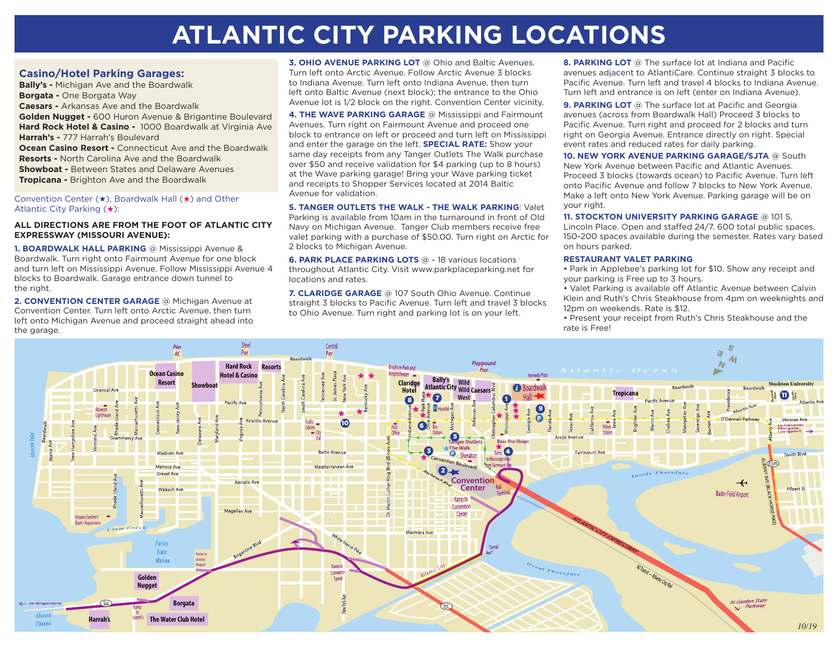# **ATLANTIC CITY PARKING LOCATIONS**

## **Casino/Hotel Parking Garages:**

**Bally's -** Michigan Ave and the Boardwalk **Borgata -** One Borgata Way **Caesars -** Arkansas Ave and the Boardwalk **Golden Nugget -** 600 Huron Avenue & Brigantine Boulevard **Hard Rock Hotel & Casino -** 1000 Boardwalk at Virginia Ave **Harrah's -** 777 Harrah's Boulevard **Ocean Casino Resort - Connecticut Ave and the Boardwalk Resorts -** North Carolina Ave and the Boardwalk **Showboat -** Between States and Delaware Avenues **Tropicana -** Brighton Ave and the Boardwalk

#### Convention Center  $(\star)$ , Boardwalk Hall  $(\star)$  and Other Atlantic City Parking  $(\star)$ :

### **ALL DIRECTIONS ARE FROM THE FOOT OF ATLANTIC CITY EXPRESSWAY (MISSOURI AVENUE):**

**1. BOARDWALK HALL PARKING** @ Mississippi Avenue & Boardwalk. Turn right onto Fairmount Avenue for one block and turn left on Mississippi Avenue. Follow Mississippi Avenue 4 blocks to Boardwalk. Garage entrance down tunnel to the right.

**2. CONVENTION CENTER GARAGE** @ Michigan Avenue at Convention Center. Turn left onto Arctic Avenue, then turn left onto Michigan Avenue and proceed straight ahead into the garage.

**3. OHIO AVENUE PARKING LOT** @ Ohio and Baltic Avenues. Turn left onto Arctic Avenue. Follow Arctic Avenue 3 blocks to Indiana Avenue. Turn left onto Indiana Avenue, then turn left onto Baltic Avenue (next block); the entrance to the Ohio Avenue lot is 1/2 block on the right. Convention Center vicinity.

**4. THE WAVE PARKING GARAGE** @ Mississippi and Fairmount Avenues. Turn right on Fairmount Avenue and proceed one block to entrance on left or proceed and turn left on Mississippi and enter the garage on the left. **SPECIAL RATE:** Show your same day receipts from any Tanger Outlets The Walk purchase over \$50 and receive validation for \$4 parking (up to 8 hours) at the Wave parking garage! Bring your Wave parking ticket and receipts to Shopper Services located at 2014 Baltic Avenue for validation.

**5. TANGER OUTLETS THE WALK - THE WALK PARKING**: Valet Parking is available from 10am in the turnaround in front of Old Navy on Michigan Avenue. Tanger Club members receive free valet parking with a purchase of \$50.00. Turn right on Arctic for 2 blocks to Michigan Avenue.

**6. PARK PLACE PARKING LOTS** @ - 18 various locations throughout Atlantic City. Visit www.parkplaceparking.net for locations and rates.

**7. CLARIDGE GARAGE** @ 107 South Ohio Avenue. Continue straight 3 blocks to Pacific Avenue. Turn left and travel 3 blocks to Ohio Avenue. Turn right and parking lot is on your left.

**8. PARKING LOT** @ The surface lot at Indiana and Pacific avenues adjacent to AtlantiCare. Continue straight 3 blocks to Pacific Avenue. Turn left and travel 4 blocks to Indiana Avenue. Turn left and entrance is on left (enter on Indiana Avenue).

**9. PARKING LOT** @ The surface lot at Pacific and Georgia avenues (across from Boardwalk Hall) Proceed 3 blocks to Pacific Avenue. Turn right and proceed for 2 blocks and turn right on Georgia Avenue. Entrance directly on right. Special event rates and reduced rates for daily parking.

**10. NEW YORK AVENUE PARKING GARAGE/SJTA** @ South New York Avenue between Pacific and Atlantic Avenues. Proceed 3 blocks (towards ocean) to Pacific Avenue. Turn left onto Pacific Avenue and follow 7 blocks to New York Avenue. Make a left onto New York Avenue. Parking garage will be on your right.

**11. STOCKTON UNIVERSITY PARKING GARAGE** @ 101 S.

Lincoln Place. Open and staffed 24/7. 600 total public spaces, 150-200 spaces available during the semester. Rates vary based on hours parked.

#### **RESTAURANT VALET PARKING**

• Park in Applebee's parking lot for \$10. Show any receipt and your parking is Free up to 3 hours.

• Valet Parking is available off Atlantic Avenue between Calvin Klein and Ruth's Chris Steakhouse from 4pm on weeknights and 12pm on weekends. Rate is \$12.

• Present your receipt from Ruth's Chris Steakhouse and the rate is Free!